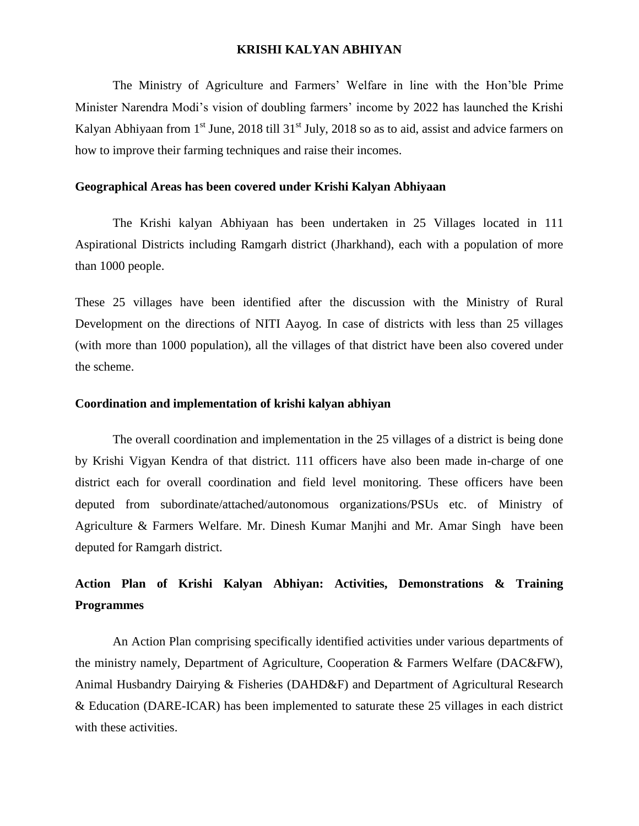#### **KRISHI KALYAN ABHIYAN**

The Ministry of Agriculture and Farmers' Welfare in line with the Hon'ble Prime Minister Narendra Modi's vision of doubling farmers' income by 2022 has launched the Krishi Kalyan Abhiyaan from 1<sup>st</sup> June, 2018 till 31<sup>st</sup> July, 2018 so as to aid, assist and advice farmers on how to improve their farming techniques and raise their incomes.

#### **Geographical Areas has been covered under Krishi Kalyan Abhiyaan**

The Krishi kalyan Abhiyaan has been undertaken in 25 Villages located in 111 Aspirational Districts including Ramgarh district (Jharkhand), each with a population of more than 1000 people.

These 25 villages have been identified after the discussion with the Ministry of Rural Development on the directions of NITI Aayog. In case of districts with less than 25 villages (with more than 1000 population), all the villages of that district have been also covered under the scheme.

### **Coordination and implementation of krishi kalyan abhiyan**

The overall coordination and implementation in the 25 villages of a district is being done by Krishi Vigyan Kendra of that district. 111 officers have also been made in-charge of one district each for overall coordination and field level monitoring. These officers have been deputed from subordinate/attached/autonomous organizations/PSUs etc. of Ministry of Agriculture & Farmers Welfare. Mr. Dinesh Kumar Manjhi and Mr. Amar Singh have been deputed for Ramgarh district.

## **Action Plan of Krishi Kalyan Abhiyan: Activities, Demonstrations & Training Programmes**

An Action Plan comprising specifically identified activities under various departments of the ministry namely, Department of Agriculture, Cooperation & Farmers Welfare (DAC&FW), Animal Husbandry Dairying & Fisheries (DAHD&F) and Department of Agricultural Research & Education (DARE-ICAR) has been implemented to saturate these 25 villages in each district with these activities.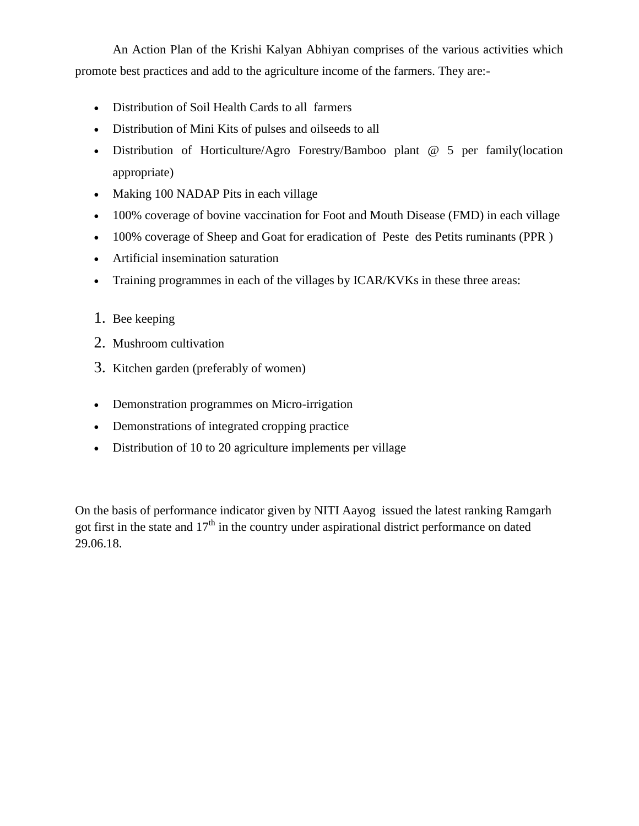An Action Plan of the Krishi Kalyan Abhiyan comprises of the various activities which promote best practices and add to the agriculture income of the farmers. They are:-

- Distribution of Soil Health Cards to all farmers
- Distribution of Mini Kits of pulses and oilseeds to all
- Distribution of Horticulture/Agro Forestry/Bamboo plant @ 5 per family(location appropriate)
- Making 100 NADAP Pits in each village
- 100% coverage of bovine vaccination for Foot and Mouth Disease (FMD) in each village
- 100% coverage of Sheep and Goat for eradication of Peste des Petits ruminants (PPR)
- Artificial insemination saturation
- Training programmes in each of the villages by ICAR/KVKs in these three areas:
- 1. Bee keeping
- 2. Mushroom cultivation
- 3. Kitchen garden (preferably of women)
- Demonstration programmes on Micro-irrigation
- Demonstrations of integrated cropping practice
- Distribution of 10 to 20 agriculture implements per village

On the basis of performance indicator given by NITI Aayog issued the latest ranking Ramgarh got first in the state and  $17<sup>th</sup>$  in the country under aspirational district performance on dated 29.06.18.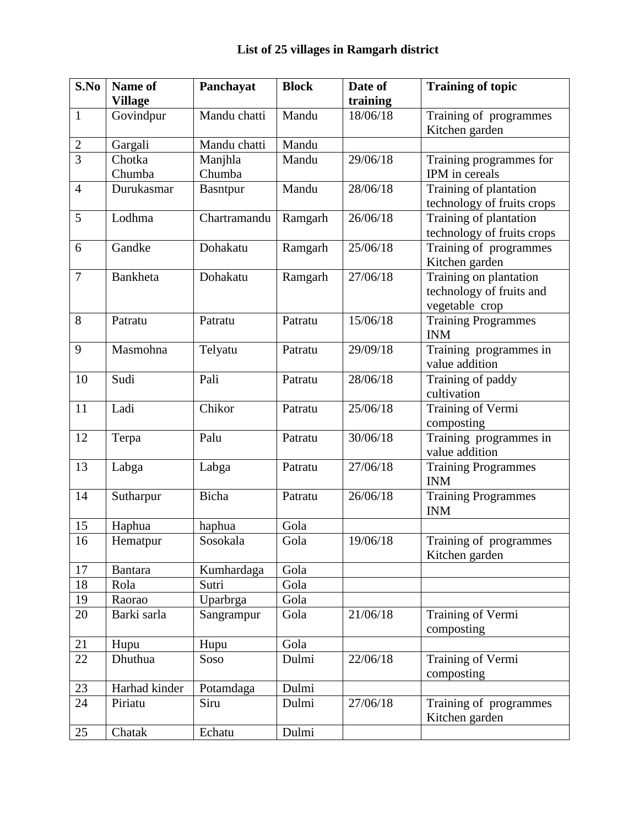| S.No           | Name of        | Panchayat    | <b>Block</b> | Date of               | <b>Training of topic</b>         |
|----------------|----------------|--------------|--------------|-----------------------|----------------------------------|
|                | <b>Village</b> |              |              | training              |                                  |
| $\mathbf{1}$   | Govindpur      | Mandu chatti | Mandu        | 18/06/18              | Training of programmes           |
|                |                |              |              |                       | Kitchen garden                   |
| $\mathbf{2}$   | Gargali        | Mandu chatti | Mandu        |                       |                                  |
| $\overline{3}$ | Chotka         | Manjhla      | Mandu        | 29/06/18              | Training programmes for          |
|                | Chumba         | Chumba       |              |                       | IPM in cereals                   |
| $\overline{4}$ | Durukasmar     | Basntpur     | Mandu        | 28/06/18              | Training of plantation           |
|                |                |              |              |                       | technology of fruits crops       |
| 5              | Lodhma         | Chartramandu | Ramgarh      | 26/06/18              | Training of plantation           |
|                |                |              |              |                       | technology of fruits crops       |
| 6              | Gandke         | Dohakatu     | Ramgarh      | 25/06/18              | Training of programmes           |
|                |                |              |              |                       | Kitchen garden                   |
| $\overline{7}$ | Bankheta       | Dohakatu     | Ramgarh      | 27/06/18              | Training on plantation           |
|                |                |              |              |                       | technology of fruits and         |
|                |                |              |              |                       | vegetable crop                   |
| 8              | Patratu        | Patratu      | Patratu      | 15/06/18              | <b>Training Programmes</b>       |
|                |                |              |              |                       | <b>INM</b>                       |
| 9              | Masmohna       | Telyatu      | Patratu      | 29/09/18              | Training programmes in           |
| 10             |                |              | Patratu      | 28/06/18              | value addition                   |
|                | Sudi           | Pali         |              |                       | Training of paddy<br>cultivation |
| 11             | Ladi           | Chikor       | Patratu      | 25/06/18              | Training of Vermi                |
|                |                |              |              |                       | composting                       |
| 12             | Terpa          | Palu         | Patratu      | 30/06/18              | Training programmes in           |
|                |                |              |              |                       | value addition                   |
| 13             | Labga          | Labga        | Patratu      | 27/06/18              | <b>Training Programmes</b>       |
|                |                |              |              |                       | <b>INM</b>                       |
| 14             | Sutharpur      | Bicha        | Patratu      | 26/06/18              | <b>Training Programmes</b>       |
|                |                |              |              |                       | <b>INM</b>                       |
| 15             | Haphua         | haphua       | Gola         |                       |                                  |
| 16             | Hematpur       | Sosokala     | Gola         | 19/06/18              | Training of programmes           |
|                |                |              |              |                       | Kitchen garden                   |
| 17             | <b>Bantara</b> | Kumhardaga   | Gola         |                       |                                  |
| 18             | Rola           | Sutri        | Gola         |                       |                                  |
| 19             | Raorao         | Uparbrga     | Gola         |                       |                                  |
| 20             | Barki sarla    | Sangrampur   | Gola         | 21/06/18              | Training of Vermi                |
|                |                |              |              |                       | composting                       |
| 21             | Hupu           | Hupu         | Gola         |                       |                                  |
| 22             | Dhuthua        | Soso         | Dulmi        | $22/06/\overline{18}$ | Training of Vermi                |
|                |                |              |              |                       | composting                       |
| 23             | Harhad kinder  | Potamdaga    | Dulmi        |                       |                                  |
| 24             | Piriatu        | Siru         | Dulmi        | 27/06/18              | Training of programmes           |
|                |                |              |              |                       | Kitchen garden                   |
| 25             | Chatak         | Echatu       | Dulmi        |                       |                                  |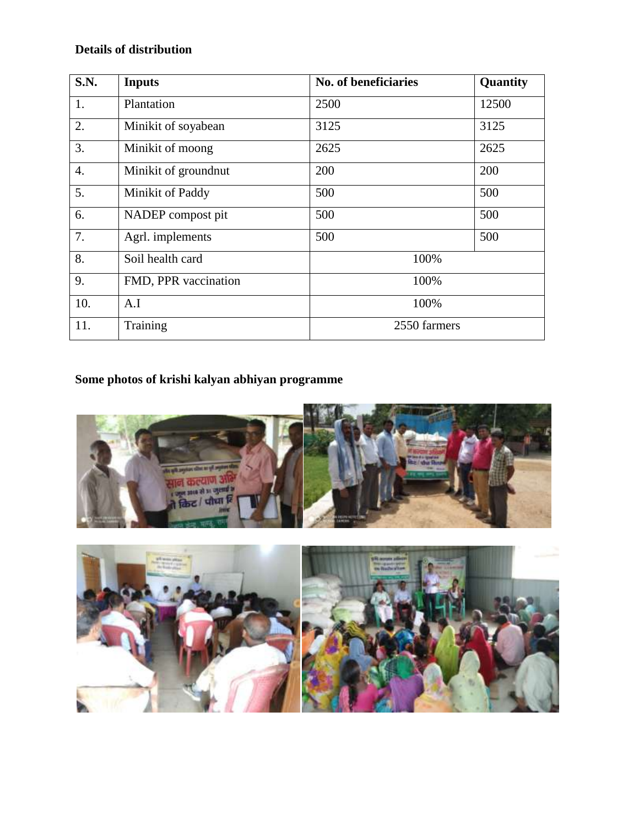### **Details of distribution**

| <b>S.N.</b> | <b>Inputs</b>        | No. of beneficiaries | Quantity |  |  |
|-------------|----------------------|----------------------|----------|--|--|
| 1.          | Plantation           | 2500                 | 12500    |  |  |
| 2.          | Minikit of soyabean  | 3125                 | 3125     |  |  |
| 3.          | Minikit of moong     | 2625                 | 2625     |  |  |
| 4.          | Minikit of groundnut | 200                  | 200      |  |  |
| 5.          | Minikit of Paddy     | 500                  | 500      |  |  |
| 6.          | NADEP compost pit    | 500                  | 500      |  |  |
| 7.          | Agrl. implements     | 500                  | 500      |  |  |
| 8.          | Soil health card     | 100%                 |          |  |  |
| 9.          | FMD, PPR vaccination | 100%                 |          |  |  |
| 10.         | A.I                  | 100%                 |          |  |  |
| 11.         | Training             | 2550 farmers         |          |  |  |

# **Some photos of krishi kalyan abhiyan programme**